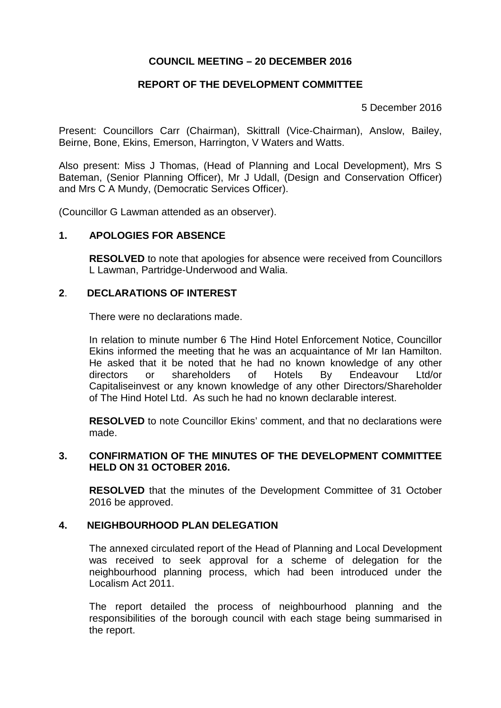# **COUNCIL MEETING – 20 DECEMBER 2016**

## **REPORT OF THE DEVELOPMENT COMMITTEE**

5 December 2016

Present: Councillors Carr (Chairman), Skittrall (Vice-Chairman), Anslow, Bailey, Beirne, Bone, Ekins, Emerson, Harrington, V Waters and Watts.

Also present: Miss J Thomas, (Head of Planning and Local Development), Mrs S Bateman, (Senior Planning Officer), Mr J Udall, (Design and Conservation Officer) and Mrs C A Mundy, (Democratic Services Officer).

(Councillor G Lawman attended as an observer).

### **1. APOLOGIES FOR ABSENCE**

**RESOLVED** to note that apologies for absence were received from Councillors L Lawman, Partridge-Underwood and Walia.

### **2**. **DECLARATIONS OF INTEREST**

There were no declarations made.

In relation to minute number 6 The Hind Hotel Enforcement Notice, Councillor Ekins informed the meeting that he was an acquaintance of Mr Ian Hamilton. He asked that it be noted that he had no known knowledge of any other directors or shareholders of Hotels By Endeavour Ltd/or Capitaliseinvest or any known knowledge of any other Directors/Shareholder of The Hind Hotel Ltd. As such he had no known declarable interest.

**RESOLVED** to note Councillor Ekins' comment, and that no declarations were made.

### **3. CONFIRMATION OF THE MINUTES OF THE DEVELOPMENT COMMITTEE HELD ON 31 OCTOBER 2016.**

**RESOLVED** that the minutes of the Development Committee of 31 October 2016 be approved.

## **4. NEIGHBOURHOOD PLAN DELEGATION**

The annexed circulated report of the Head of Planning and Local Development was received to seek approval for a scheme of delegation for the neighbourhood planning process, which had been introduced under the Localism Act 2011.

The report detailed the process of neighbourhood planning and the responsibilities of the borough council with each stage being summarised in the report.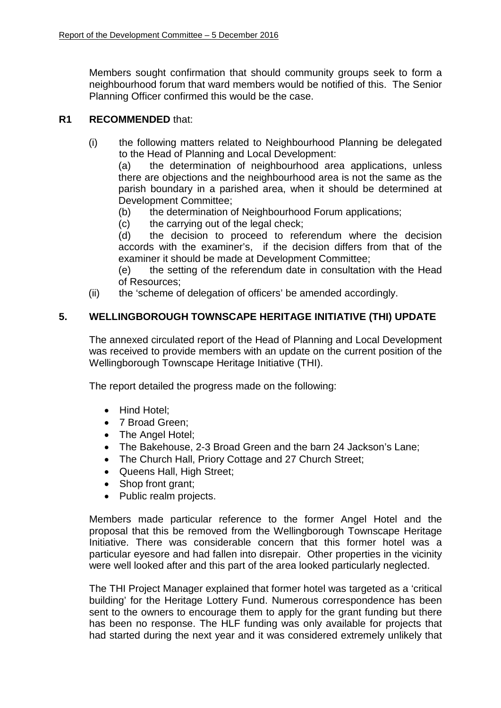Members sought confirmation that should community groups seek to form a neighbourhood forum that ward members would be notified of this. The Senior Planning Officer confirmed this would be the case.

# **R1 RECOMMENDED** that:

(i) the following matters related to Neighbourhood Planning be delegated to the Head of Planning and Local Development:

(a) the determination of neighbourhood area applications, unless there are objections and the neighbourhood area is not the same as the parish boundary in a parished area, when it should be determined at Development Committee;

- (b) the determination of Neighbourhood Forum applications;
- (c) the carrying out of the legal check;

(d) the decision to proceed to referendum where the decision accords with the examiner's, if the decision differs from that of the examiner it should be made at Development Committee;

(e) the setting of the referendum date in consultation with the Head of Resources;

(ii) the 'scheme of delegation of officers' be amended accordingly.

# **5. WELLINGBOROUGH TOWNSCAPE HERITAGE INITIATIVE (THI) UPDATE**

The annexed circulated report of the Head of Planning and Local Development was received to provide members with an update on the current position of the Wellingborough Townscape Heritage Initiative (THI).

The report detailed the progress made on the following:

- Hind Hotel:
- 7 Broad Green:
- The Angel Hotel;
- The Bakehouse, 2-3 Broad Green and the barn 24 Jackson's Lane;
- The Church Hall, Priory Cottage and 27 Church Street;
- Queens Hall, High Street:
- Shop front grant;
- Public realm projects.

Members made particular reference to the former Angel Hotel and the proposal that this be removed from the Wellingborough Townscape Heritage Initiative. There was considerable concern that this former hotel was a particular eyesore and had fallen into disrepair. Other properties in the vicinity were well looked after and this part of the area looked particularly neglected.

The THI Project Manager explained that former hotel was targeted as a 'critical building' for the Heritage Lottery Fund. Numerous correspondence has been sent to the owners to encourage them to apply for the grant funding but there has been no response. The HLF funding was only available for projects that had started during the next year and it was considered extremely unlikely that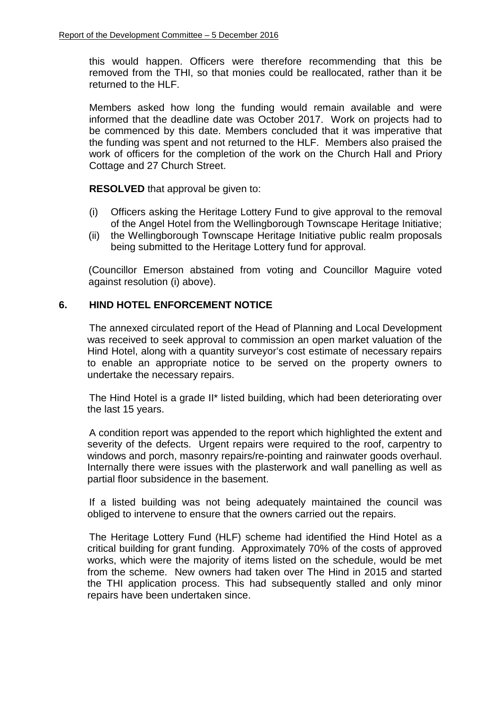this would happen. Officers were therefore recommending that this be removed from the THI, so that monies could be reallocated, rather than it be returned to the HLF.

Members asked how long the funding would remain available and were informed that the deadline date was October 2017. Work on projects had to be commenced by this date. Members concluded that it was imperative that the funding was spent and not returned to the HLF. Members also praised the work of officers for the completion of the work on the Church Hall and Priory Cottage and 27 Church Street.

**RESOLVED** that approval be given to:

- (i) Officers asking the Heritage Lottery Fund to give approval to the removal of the Angel Hotel from the Wellingborough Townscape Heritage Initiative;
- (ii) the Wellingborough Townscape Heritage Initiative public realm proposals being submitted to the Heritage Lottery fund for approval.

(Councillor Emerson abstained from voting and Councillor Maguire voted against resolution (i) above).

## **6. HIND HOTEL ENFORCEMENT NOTICE**

The annexed circulated report of the Head of Planning and Local Development was received to seek approval to commission an open market valuation of the Hind Hotel, along with a quantity surveyor's cost estimate of necessary repairs to enable an appropriate notice to be served on the property owners to undertake the necessary repairs.

The Hind Hotel is a grade II\* listed building, which had been deteriorating over the last 15 years.

A condition report was appended to the report which highlighted the extent and severity of the defects. Urgent repairs were required to the roof, carpentry to windows and porch, masonry repairs/re-pointing and rainwater goods overhaul. Internally there were issues with the plasterwork and wall panelling as well as partial floor subsidence in the basement.

If a listed building was not being adequately maintained the council was obliged to intervene to ensure that the owners carried out the repairs.

The Heritage Lottery Fund (HLF) scheme had identified the Hind Hotel as a critical building for grant funding. Approximately 70% of the costs of approved works, which were the majority of items listed on the schedule, would be met from the scheme. New owners had taken over The Hind in 2015 and started the THI application process. This had subsequently stalled and only minor repairs have been undertaken since.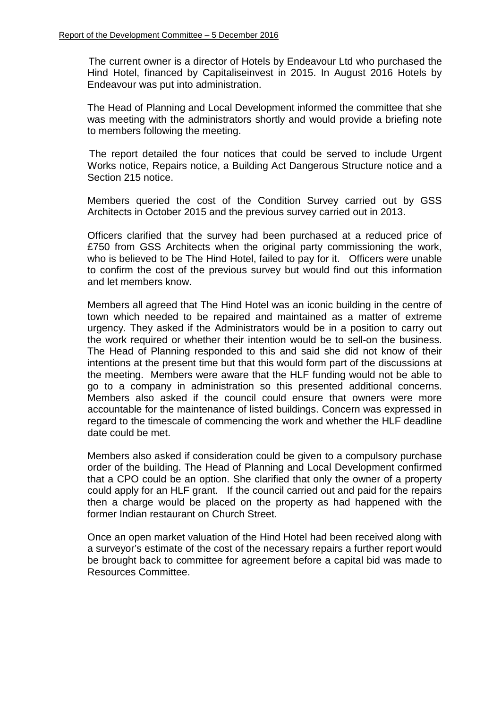The current owner is a director of Hotels by Endeavour Ltd who purchased the Hind Hotel, financed by Capitaliseinvest in 2015. In August 2016 Hotels by Endeavour was put into administration.

The Head of Planning and Local Development informed the committee that she was meeting with the administrators shortly and would provide a briefing note to members following the meeting.

The report detailed the four notices that could be served to include Urgent Works notice, Repairs notice, a Building Act Dangerous Structure notice and a Section 215 notice.

Members queried the cost of the Condition Survey carried out by GSS Architects in October 2015 and the previous survey carried out in 2013.

Officers clarified that the survey had been purchased at a reduced price of £750 from GSS Architects when the original party commissioning the work, who is believed to be The Hind Hotel, failed to pay for it. Officers were unable to confirm the cost of the previous survey but would find out this information and let members know.

Members all agreed that The Hind Hotel was an iconic building in the centre of town which needed to be repaired and maintained as a matter of extreme urgency. They asked if the Administrators would be in a position to carry out the work required or whether their intention would be to sell-on the business. The Head of Planning responded to this and said she did not know of their intentions at the present time but that this would form part of the discussions at the meeting. Members were aware that the HLF funding would not be able to go to a company in administration so this presented additional concerns. Members also asked if the council could ensure that owners were more accountable for the maintenance of listed buildings. Concern was expressed in regard to the timescale of commencing the work and whether the HLF deadline date could be met.

Members also asked if consideration could be given to a compulsory purchase order of the building. The Head of Planning and Local Development confirmed that a CPO could be an option. She clarified that only the owner of a property could apply for an HLF grant. If the council carried out and paid for the repairs then a charge would be placed on the property as had happened with the former Indian restaurant on Church Street.

Once an open market valuation of the Hind Hotel had been received along with a surveyor's estimate of the cost of the necessary repairs a further report would be brought back to committee for agreement before a capital bid was made to Resources Committee.